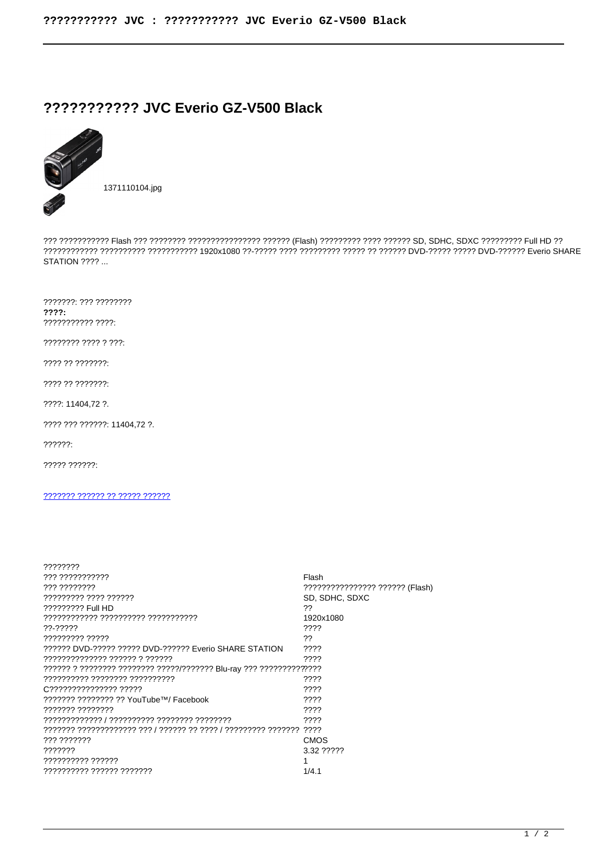## ?????????? JVC Everio GZ-V500 Black



**STATION ???? ...** 

???????: ??? ????????  $777?:$ ??????????? ????:

???????? ???? ? ???:

???? ?? ???????:

???? ?? ???????:

????: 11404,72 ?.

???? ??? ??????: 11404.72 ?.

 $??????$ 

????? ??????:

## 2222222 222222 22 22222 222222

| ????????                                               |                                 |
|--------------------------------------------------------|---------------------------------|
| ??? ???????????                                        | Flash                           |
| ,,,,,,,,,,,,                                           | ???????????????? ?????? (Flash) |
| ????????? ???? ??????                                  | SD. SDHC, SDXC                  |
| ????????? Full HD                                      | ??                              |
| ???????????? ?????????? ???????????                    | 1920x1080                       |
| ??-?????                                               | ????                            |
| ????????? ?????                                        | ??                              |
| 222222 DVD-22222 22222 DVD-222222 Everio SHARE STATION | ????                            |
| ?????????????? ?????? ? ??????                         | ????                            |
|                                                        |                                 |
|                                                        | ????                            |
| C333333333333333333                                    | ????                            |
| ??????? ???????? ?? YouTube™/ Facebook                 | ????                            |
| ??????? ????????                                       | ????                            |
|                                                        | ????                            |
|                                                        |                                 |
| ??? ???????                                            | CMOS                            |
| ???????                                                | 3.32 ?????                      |
| ?????????? ??????                                      |                                 |
| ?????????? ?????? ???????                              | 1/4.1                           |
|                                                        |                                 |